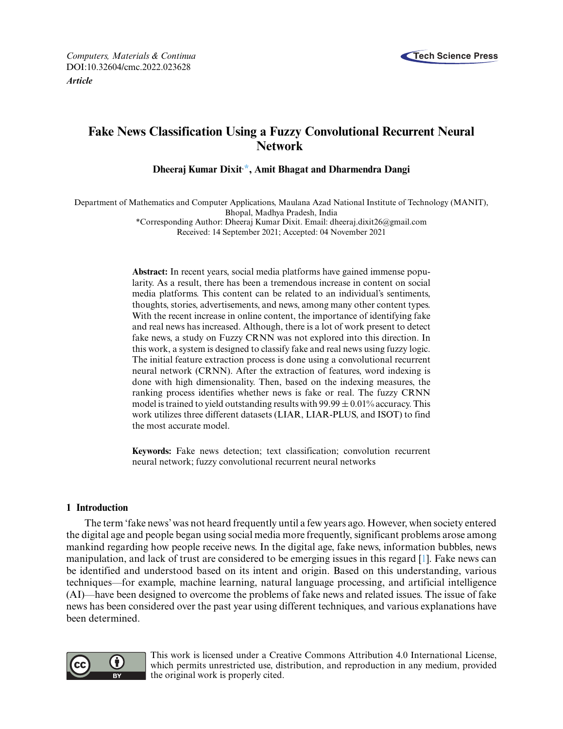

# **Fake News Classification Using a Fuzzy Convolutional Recurrent Neural Network**

**Dheeraj Kumar Dixit, [\\*,](#page-0-0) Amit Bhagat and Dharmendra Dangi**

Department of Mathematics and Computer Applications, Maulana Azad National Institute of Technology (MANIT), Bhopal, Madhya Pradesh, India

<span id="page-0-0"></span>\*Corresponding Author: Dheeraj Kumar Dixit. Email: [dheeraj.dixit26@gmail.com](mailto:dheeraj.dixit26@gmail.com) Received: 14 September 2021; Accepted: 04 November 2021

**Abstract:** In recent years, social media platforms have gained immense popularity. As a result, there has been a tremendous increase in content on social media platforms. This content can be related to an individual's sentiments, thoughts, stories, advertisements, and news, among many other content types. With the recent increase in online content, the importance of identifying fake and real news has increased. Although, there is a lot of work present to detect fake news, a study on Fuzzy CRNN was not explored into this direction. In this work, a system is designed to classify fake and real news using fuzzy logic. The initial feature extraction process is done using a convolutional recurrent neural network (CRNN). After the extraction of features, word indexing is done with high dimensionality. Then, based on the indexing measures, the ranking process identifies whether news is fake or real. The fuzzy CRNN model is trained to yield outstanding results with  $99.99 \pm 0.01\%$  accuracy. This work utilizes three different datasets (LIAR, LIAR-PLUS, and ISOT) to find the most accurate model.

**Keywords:** Fake news detection; text classification; convolution recurrent neural network; fuzzy convolutional recurrent neural networks

## **1 Introduction**

The term 'fake news' was not heard frequently until a few years ago. However, when society entered the digital age and people began using social media more frequently, significant problems arose among mankind regarding how people receive news. In the digital age, fake news, information bubbles, news manipulation, and lack of trust are considered to be emerging issues in this regard [\[1\]](#page-16-0). Fake news can be identified and understood based on its intent and origin. Based on this understanding, various techniques—for example, machine learning, natural language processing, and artificial intelligence (AI)—have been designed to overcome the problems of fake news and related issues. The issue of fake news has been considered over the past year using different techniques, and various explanations have been determined.



This work is licensed under a Creative Commons Attribution 4.0 International License, which permits unrestricted use, distribution, and reproduction in any medium, provided the original work is properly cited.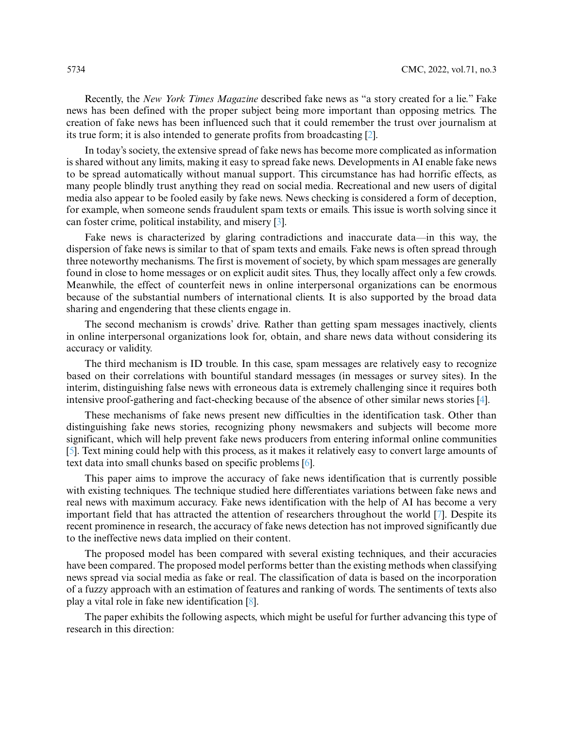Recently, the *New York Times Magazine* described fake news as "a story created for a lie." Fake news has been defined with the proper subject being more important than opposing metrics. The creation of fake news has been influenced such that it could remember the trust over journalism at its true form; it is also intended to generate profits from broadcasting [\[2\]](#page-16-1).

In today's society, the extensive spread of fake news has become more complicated as information is shared without any limits, making it easy to spread fake news. Developments in AI enable fake news to be spread automatically without manual support. This circumstance has had horrific effects, as many people blindly trust anything they read on social media. Recreational and new users of digital media also appear to be fooled easily by fake news. News checking is considered a form of deception, for example, when someone sends fraudulent spam texts or emails. This issue is worth solving since it can foster crime, political instability, and misery [\[3\]](#page-16-2).

Fake news is characterized by glaring contradictions and inaccurate data—in this way, the dispersion of fake news is similar to that of spam texts and emails. Fake news is often spread through three noteworthy mechanisms. The first is movement of society, by which spam messages are generally found in close to home messages or on explicit audit sites. Thus, they locally affect only a few crowds. Meanwhile, the effect of counterfeit news in online interpersonal organizations can be enormous because of the substantial numbers of international clients. It is also supported by the broad data sharing and engendering that these clients engage in.

The second mechanism is crowds' drive. Rather than getting spam messages inactively, clients in online interpersonal organizations look for, obtain, and share news data without considering its accuracy or validity.

The third mechanism is ID trouble. In this case, spam messages are relatively easy to recognize based on their correlations with bountiful standard messages (in messages or survey sites). In the interim, distinguishing false news with erroneous data is extremely challenging since it requires both intensive proof-gathering and fact-checking because of the absence of other similar news stories [\[4\]](#page-16-3).

These mechanisms of fake news present new difficulties in the identification task. Other than distinguishing fake news stories, recognizing phony newsmakers and subjects will become more significant, which will help prevent fake news producers from entering informal online communities [\[5\]](#page-16-4). Text mining could help with this process, as it makes it relatively easy to convert large amounts of text data into small chunks based on specific problems [\[6\]](#page-16-5).

This paper aims to improve the accuracy of fake news identification that is currently possible with existing techniques. The technique studied here differentiates variations between fake news and real news with maximum accuracy. Fake news identification with the help of AI has become a very important field that has attracted the attention of researchers throughout the world [\[7\]](#page-16-6). Despite its recent prominence in research, the accuracy of fake news detection has not improved significantly due to the ineffective news data implied on their content.

The proposed model has been compared with several existing techniques, and their accuracies have been compared. The proposed model performs better than the existing methods when classifying news spread via social media as fake or real. The classification of data is based on the incorporation of a fuzzy approach with an estimation of features and ranking of words. The sentiments of texts also play a vital role in fake new identification [\[8\]](#page-16-7).

The paper exhibits the following aspects, which might be useful for further advancing this type of research in this direction: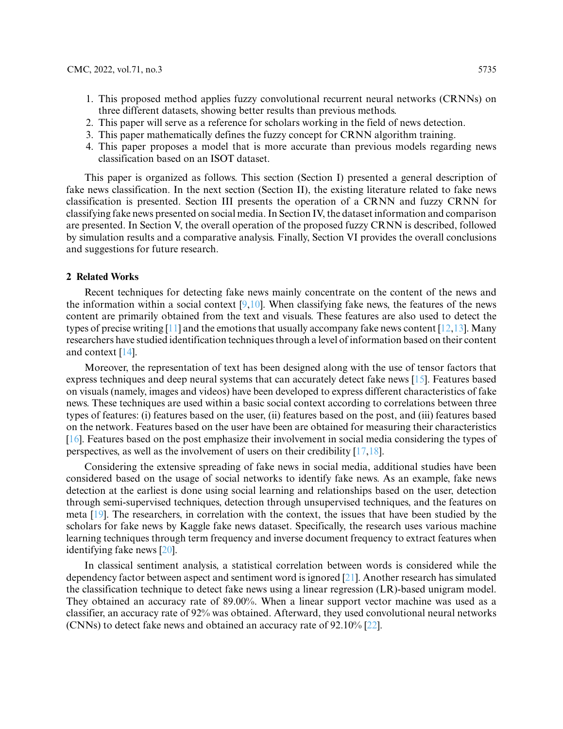- 1. This proposed method applies fuzzy convolutional recurrent neural networks (CRNNs) on three different datasets, showing better results than previous methods.
- 2. This paper will serve as a reference for scholars working in the field of news detection.
- 3. This paper mathematically defines the fuzzy concept for CRNN algorithm training.
- 4. This paper proposes a model that is more accurate than previous models regarding news classification based on an ISOT dataset.

This paper is organized as follows. This section (Section I) presented a general description of fake news classification. In the next section (Section II), the existing literature related to fake news classification is presented. Section III presents the operation of a CRNN and fuzzy CRNN for classifying fake news presented on social media. In Section IV, the dataset information and comparison are presented. In Section V, the overall operation of the proposed fuzzy CRNN is described, followed by simulation results and a comparative analysis. Finally, Section VI provides the overall conclusions and suggestions for future research.

#### **2 Related Works**

Recent techniques for detecting fake news mainly concentrate on the content of the news and the information within a social context  $[9,10]$  $[9,10]$ . When classifying fake news, the features of the news content are primarily obtained from the text and visuals. These features are also used to detect the types of precise writing [\[11\]](#page-16-10) and the emotions that usually accompany fake news content  $[12,13]$  $[12,13]$ . Many researchers have studied identification techniques through a level of information based on their content and context [\[14\]](#page-16-13).

Moreover, the representation of text has been designed along with the use of tensor factors that express techniques and deep neural systems that can accurately detect fake news [\[15\]](#page-16-14). Features based on visuals (namely, images and videos) have been developed to express different characteristics of fake news. These techniques are used within a basic social context according to correlations between three types of features: (i) features based on the user, (ii) features based on the post, and (iii) features based on the network. Features based on the user have been are obtained for measuring their characteristics [\[16\]](#page-16-15). Features based on the post emphasize their involvement in social media considering the types of perspectives, as well as the involvement of users on their credibility [\[17,](#page-16-16)[18\]](#page-16-17).

Considering the extensive spreading of fake news in social media, additional studies have been considered based on the usage of social networks to identify fake news. As an example, fake news detection at the earliest is done using social learning and relationships based on the user, detection through semi-supervised techniques, detection through unsupervised techniques, and the features on meta [\[19\]](#page-16-18). The researchers, in correlation with the context, the issues that have been studied by the scholars for fake news by Kaggle fake news dataset. Specifically, the research uses various machine learning techniques through term frequency and inverse document frequency to extract features when identifying fake news [\[20\]](#page-16-19).

In classical sentiment analysis, a statistical correlation between words is considered while the dependency factor between aspect and sentiment word is ignored  $[21]$ . Another research has simulated the classification technique to detect fake news using a linear regression (LR)-based unigram model. They obtained an accuracy rate of 89.00%. When a linear support vector machine was used as a classifier, an accuracy rate of 92% was obtained. Afterward, they used convolutional neural networks (CNNs) to detect fake news and obtained an accuracy rate of 92.10% [\[22\]](#page-17-1).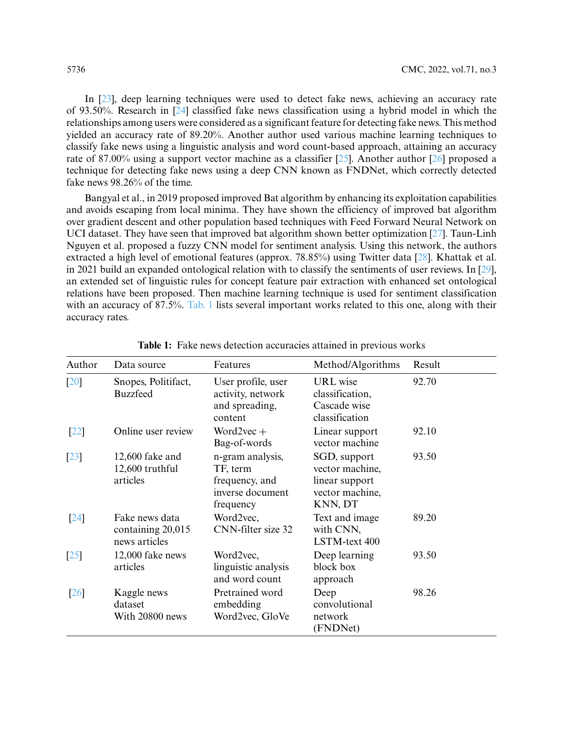In [\[23\]](#page-17-2), deep learning techniques were used to detect fake news, achieving an accuracy rate of 93.50%. Research in [\[24\]](#page-17-3) classified fake news classification using a hybrid model in which the relationships among users were considered as a significant feature for detecting fake news. This method yielded an accuracy rate of 89.20%. Another author used various machine learning techniques to classify fake news using a linguistic analysis and word count-based approach, attaining an accuracy rate of 87.00% using a support vector machine as a classifier [\[25\]](#page-17-4). Another author [\[26\]](#page-17-5) proposed a technique for detecting fake news using a deep CNN known as FNDNet, which correctly detected fake news 98.26% of the time.

Bangyal et al., in 2019 proposed improved Bat algorithm by enhancing its exploitation capabilities and avoids escaping from local minima. They have shown the efficiency of improved bat algorithm over gradient descent and other population based techniques with Feed Forward Neural Network on UCI dataset. They have seen that improved bat algorithm shown better optimization [\[27\]](#page-17-6). Taun-Linh Nguyen et al. proposed a fuzzy CNN model for sentiment analysis. Using this network, the authors extracted a high level of emotional features (approx. 78.85%) using Twitter data [\[28\]](#page-17-7). Khattak et al. in 2021 build an expanded ontological relation with to classify the sentiments of user reviews. In [\[29\]](#page-17-8), an extended set of linguistic rules for concept feature pair extraction with enhanced set ontological relations have been proposed. Then machine learning technique is used for sentiment classification with an accuracy of 87.5%. [Tab. 1](#page-3-0) lists several important works related to this one, along with their accuracy rates.

<span id="page-3-0"></span>

| Author            | Data source                                          | Features                                                                        | Method/Algorithms                                                               | Result |
|-------------------|------------------------------------------------------|---------------------------------------------------------------------------------|---------------------------------------------------------------------------------|--------|
| [20]              | Snopes, Politifact,<br><b>Buzzfeed</b>               | User profile, user<br>activity, network<br>and spreading,<br>content            | <b>URL</b> wise<br>classification,<br>Cascade wise<br>classification            | 92.70  |
| $\left[22\right]$ | Online user review                                   | Word2vec $+$<br>Bag-of-words                                                    | Linear support<br>vector machine                                                | 92.10  |
| $\left[23\right]$ | $12,600$ fake and<br>12,600 truthful<br>articles     | n-gram analysis,<br>TF, term<br>frequency, and<br>inverse document<br>frequency | SGD, support<br>vector machine,<br>linear support<br>vector machine,<br>KNN, DT | 93.50  |
| $\sqrt{24}$       | Fake news data<br>containing 20,015<br>news articles | Word2vec,<br>CNN-filter size 32                                                 | Text and image<br>with CNN,<br>LSTM-text 400                                    | 89.20  |
| $\left[25\right]$ | 12,000 fake news<br>articles                         | Word2vec,<br>linguistic analysis<br>and word count                              | Deep learning<br>block box<br>approach                                          | 93.50  |
| [26]              | Kaggle news<br>dataset<br>With 20800 news            | Pretrained word<br>embedding<br>Word2vec, GloVe                                 | Deep<br>convolutional<br>network<br>(FNDNet)                                    | 98.26  |

**Table 1:** Fake news detection accuracies attained in previous works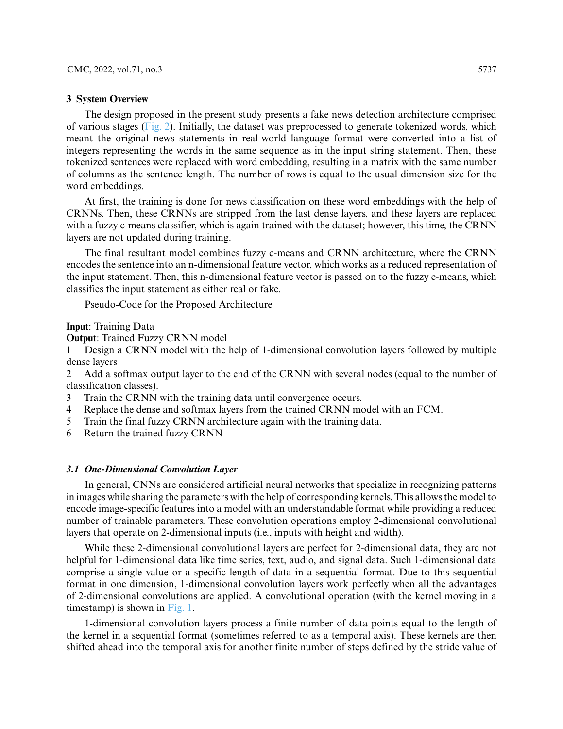#### **3 System Overview**

The design proposed in the present study presents a fake news detection architecture comprised of various stages [\(Fig. 2\)](#page-5-0). Initially, the dataset was preprocessed to generate tokenized words, which meant the original news statements in real-world language format were converted into a list of integers representing the words in the same sequence as in the input string statement. Then, these tokenized sentences were replaced with word embedding, resulting in a matrix with the same number of columns as the sentence length. The number of rows is equal to the usual dimension size for the word embeddings.

At first, the training is done for news classification on these word embeddings with the help of CRNNs. Then, these CRNNs are stripped from the last dense layers, and these layers are replaced with a fuzzy c-means classifier, which is again trained with the dataset; however, this time, the CRNN layers are not updated during training.

The final resultant model combines fuzzy c-means and CRNN architecture, where the CRNN encodes the sentence into an n-dimensional feature vector, which works as a reduced representation of the input statement. Then, this n-dimensional feature vector is passed on to the fuzzy c-means, which classifies the input statement as either real or fake.

Pseudo-Code for the Proposed Architecture

**Input**: Training Data

**Output**: Trained Fuzzy CRNN model

1 Design a CRNN model with the help of 1-dimensional convolution layers followed by multiple dense layers

2 Add a softmax output layer to the end of the CRNN with several nodes (equal to the number of classification classes).

- 3 Train the CRNN with the training data until convergence occurs.
- 4 Replace the dense and softmax layers from the trained CRNN model with an FCM.
- 5 Train the final fuzzy CRNN architecture again with the training data.
- 6 Return the trained fuzzy CRNN

## *3.1 One-Dimensional Convolution Layer*

In general, CNNs are considered artificial neural networks that specialize in recognizing patterns in images while sharing the parameters with the help of corresponding kernels. This allows the model to encode image-specific features into a model with an understandable format while providing a reduced number of trainable parameters. These convolution operations employ 2-dimensional convolutional layers that operate on 2-dimensional inputs (i.e., inputs with height and width).

While these 2-dimensional convolutional layers are perfect for 2-dimensional data, they are not helpful for 1-dimensional data like time series, text, audio, and signal data. Such 1-dimensional data comprise a single value or a specific length of data in a sequential format. Due to this sequential format in one dimension, 1-dimensional convolution layers work perfectly when all the advantages of 2-dimensional convolutions are applied. A convolutional operation (with the kernel moving in a timestamp) is shown in [Fig. 1.](#page-5-1)

1-dimensional convolution layers process a finite number of data points equal to the length of the kernel in a sequential format (sometimes referred to as a temporal axis). These kernels are then shifted ahead into the temporal axis for another finite number of steps defined by the stride value of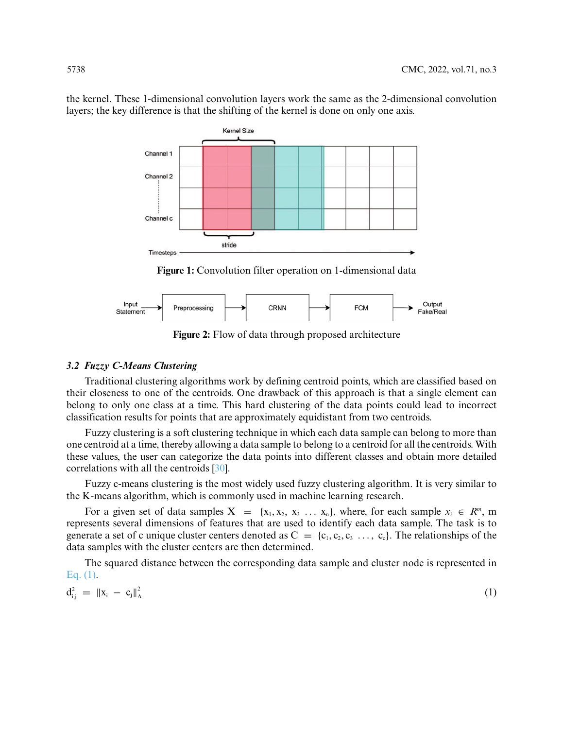the kernel. These 1-dimensional convolution layers work the same as the 2-dimensional convolution layers; the key difference is that the shifting of the kernel is done on only one axis.



**Figure 1:** Convolution filter operation on 1-dimensional data

<span id="page-5-1"></span><span id="page-5-0"></span>

**Figure 2:** Flow of data through proposed architecture

## *3.2 Fuzzy C-Means Clustering*

Traditional clustering algorithms work by defining centroid points, which are classified based on their closeness to one of the centroids. One drawback of this approach is that a single element can belong to only one class at a time. This hard clustering of the data points could lead to incorrect classification results for points that are approximately equidistant from two centroids.

Fuzzy clustering is a soft clustering technique in which each data sample can belong to more than one centroid at a time, thereby allowing a data sample to belong to a centroid for all the centroids. With these values, the user can categorize the data points into different classes and obtain more detailed correlations with all the centroids [\[30\]](#page-17-9).

Fuzzy c-means clustering is the most widely used fuzzy clustering algorithm. It is very similar to the K-means algorithm, which is commonly used in machine learning research.

For a given set of data samples  $X = \{x_1, x_2, x_3, \ldots, x_n\}$ , where, for each sample  $x_i \in \mathbb{R}^m$ , m represents several dimensions of features that are used to identify each data sample. The task is to generate a set of c unique cluster centers denoted as  $C = \{c_1, c_2, c_3, \ldots, c_c\}$ . The relationships of the data samples with the cluster centers are then determined.

The squared distance between the corresponding data sample and cluster node is represented in [Eq. \(1\).](#page-5-2)

<span id="page-5-2"></span>
$$
d_{i,j}^2 = \|x_i - c_j\|_A^2
$$
 (1)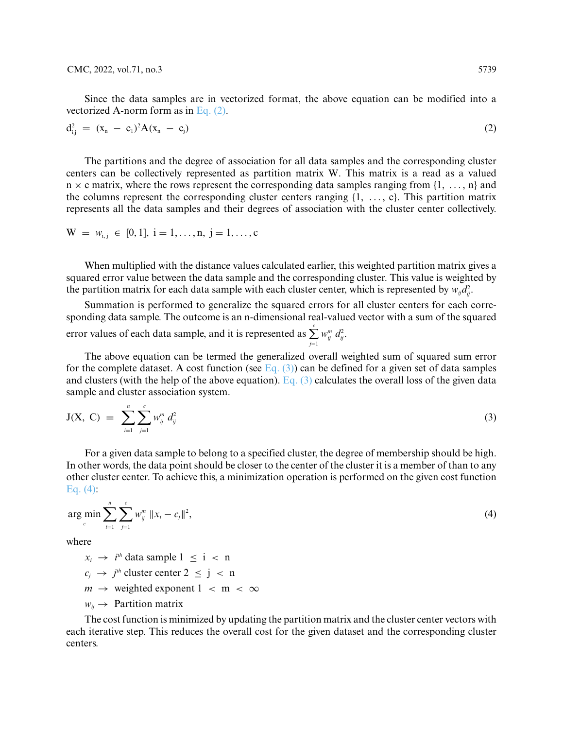Since the data samples are in vectorized format, the above equation can be modified into a vectorized A-norm form as in [Eq. \(2\).](#page-6-0)

<span id="page-6-0"></span>
$$
d_{i,j}^2 = (x_n - c_1)^2 A (x_n - c_j)
$$
 (2)

The partitions and the degree of association for all data samples and the corresponding cluster centers can be collectively represented as partition matrix W. This matrix is a read as a valued  $n \times c$  matrix, where the rows represent the corresponding data samples ranging from  $\{1, \ldots, n\}$  and the columns represent the corresponding cluster centers ranging {1, *...* , c}. This partition matrix represents all the data samples and their degrees of association with the cluster center collectively.

$$
W = w_{i,j} \in [0, 1], i = 1, ..., n, j = 1, ..., c
$$

When multiplied with the distance values calculated earlier, this weighted partition matrix gives a squared error value between the data sample and the corresponding cluster. This value is weighted by the partition matrix for each data sample with each cluster center, which is represented by  $w_{ij}d_{ij}^2$ .

Summation is performed to generalize the squared errors for all cluster centers for each corresponding data sample. The outcome is an n-dimensional real-valued vector with a sum of the squared error values of each data sample, and it is represented as  $\sum_{ij}^{c} w_{ij}^{m} d_{ij}^{2}$ . *j*=1

The above equation can be termed the generalized overall weighted sum of squared sum error for the complete dataset. A cost function (see Eq.  $(3)$ ) can be defined for a given set of data samples and clusters (with the help of the above equation). Eq.  $(3)$  calculates the overall loss of the given data sample and cluster association system.

<span id="page-6-1"></span>
$$
J(X, C) = \sum_{i=1}^{n} \sum_{j=1}^{c} w_{ij}^{m} d_{ij}^{2}
$$
 (3)

For a given data sample to belong to a specified cluster, the degree of membership should be high. In other words, the data point should be closer to the center of the cluster it is a member of than to any other cluster center. To achieve this, a minimization operation is performed on the given cost function Eq.  $(4)$ :

<span id="page-6-2"></span>
$$
\arg\min_{c} \sum_{i=1}^{n} \sum_{j=1}^{c} w_{ij}^{m} \|x_i - c_j\|^2,
$$
\n(4)

where

 $x_i \rightarrow i^{th}$  data sample  $1 \leq i \leq n$  $c_j \rightarrow j$ <sup>th</sup> cluster center 2  $\leq j < n$  $m \rightarrow$  weighted exponent  $1 \le m \le \infty$ 

 $w_{ii} \rightarrow$  Partition matrix

The cost function is minimized by updating the partition matrix and the cluster center vectors with each iterative step. This reduces the overall cost for the given dataset and the corresponding cluster centers.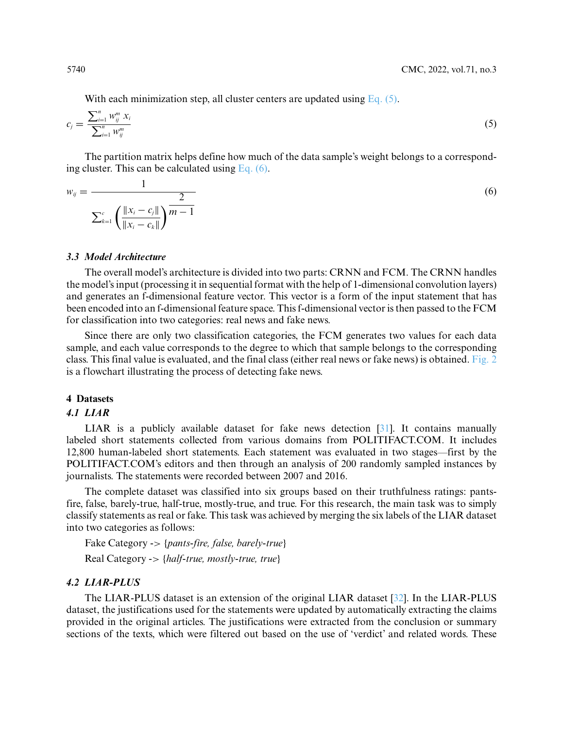<span id="page-7-1"></span><span id="page-7-0"></span>With each minimization step, all cluster centers are updated using Eq.  $(5)$ .

$$
c_j = \frac{\sum_{i=1}^n w_{ij}^m x_i}{\sum_{i=1}^n w_{ij}^m}
$$
\n(5)

The partition matrix helps define how much of the data sample's weight belongs to a corresponding cluster. This can be calculated using Eq.  $(6)$ .

$$
w_{ij} = \frac{1}{\sum_{k=1}^{c} \left( \frac{\|x_i - c_j\|}{\|x_i - c_k\|} \right)^{\frac{2}{m-1}}}
$$
(6)

## *3.3 Model Architecture*

The overall model's architecture is divided into two parts: CRNN and FCM. The CRNN handles the model's input (processing it in sequential format with the help of 1-dimensional convolution layers) and generates an f-dimensional feature vector. This vector is a form of the input statement that has been encoded into an f-dimensional feature space. This f-dimensional vector is then passed to the FCM for classification into two categories: real news and fake news.

Since there are only two classification categories, the FCM generates two values for each data sample, and each value corresponds to the degree to which that sample belongs to the corresponding class. This final value is evaluated, and the final class (either real news or fake news) is obtained. [Fig. 2](#page-5-0) is a flowchart illustrating the process of detecting fake news.

### **4 Datasets**

#### *4.1 LIAR*

LIAR is a publicly available dataset for fake news detection [\[31\]](#page-17-10). It contains manually labeled short statements collected from various domains from POLITIFACT.COM. It includes 12,800 human-labeled short statements. Each statement was evaluated in two stages—first by the POLITIFACT.COM's editors and then through an analysis of 200 randomly sampled instances by journalists. The statements were recorded between 2007 and 2016.

The complete dataset was classified into six groups based on their truthfulness ratings: pantsfire, false, barely-true, half-true, mostly-true, and true. For this research, the main task was to simply classify statements as real or fake. This task was achieved by merging the six labels of the LIAR dataset into two categories as follows:

Fake Category -*>* {*pants-fire, false, barely-true*} Real Category -*>* {*half-true, mostly-true, true*}

# *4.2 LIAR-PLUS*

The LIAR-PLUS dataset is an extension of the original LIAR dataset [\[32\]](#page-17-11). In the LIAR-PLUS dataset, the justifications used for the statements were updated by automatically extracting the claims provided in the original articles. The justifications were extracted from the conclusion or summary sections of the texts, which were filtered out based on the use of 'verdict' and related words. These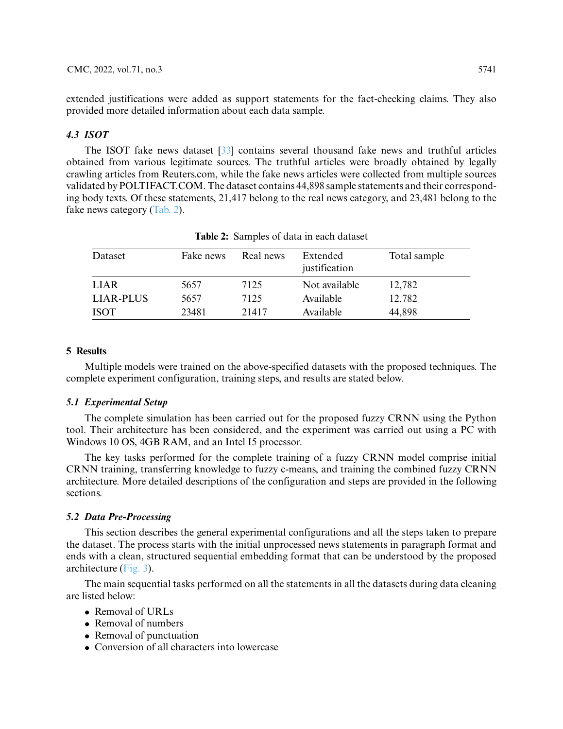extended justifications were added as support statements for the fact-checking claims. They also provided more detailed information about each data sample.

# *4.3 ISOT*

The ISOT fake news dataset [\[33\]](#page-17-12) contains several thousand fake news and truthful articles obtained from various legitimate sources. The truthful articles were broadly obtained by legally crawling articles from Reuters.com, while the fake news articles were collected from multiple sources validated by POLTIFACT.COM. The dataset contains 44,898 sample statements and their corresponding body texts. Of these statements, 21,417 belong to the real news category, and 23,481 belong to the fake news category [\(Tab. 2\)](#page-8-0).

<span id="page-8-0"></span>

| Dataset          | Fake news | Real news | Extended<br>justification | Total sample |
|------------------|-----------|-----------|---------------------------|--------------|
| <b>LIAR</b>      | 5657      | 7125      | Not available             | 12,782       |
| <b>LIAR-PLUS</b> | 5657      | 7125      | Available                 | 12,782       |
| <b>ISOT</b>      | 23481     | 21417     | Available                 | 44,898       |

**Table 2:** Samples of data in each dataset

# **5 Results**

Multiple models were trained on the above-specified datasets with the proposed techniques. The complete experiment configuration, training steps, and results are stated below.

#### *5.1 Experimental Setup*

The complete simulation has been carried out for the proposed fuzzy CRNN using the Python tool. Their architecture has been considered, and the experiment was carried out using a PC with Windows 10 OS, 4GB RAM, and an Intel I5 processor.

The key tasks performed for the complete training of a fuzzy CRNN model comprise initial CRNN training, transferring knowledge to fuzzy c-means, and training the combined fuzzy CRNN architecture. More detailed descriptions of the configuration and steps are provided in the following sections.

#### *5.2 Data Pre-Processing*

This section describes the general experimental configurations and all the steps taken to prepare the dataset. The process starts with the initial unprocessed news statements in paragraph format and ends with a clean, structured sequential embedding format that can be understood by the proposed architecture [\(Fig. 3\)](#page-9-0).

The main sequential tasks performed on all the statements in all the datasets during data cleaning are listed below:

- Removal of URLs
- Removal of numbers
- Removal of punctuation
- Conversion of all characters into lowercase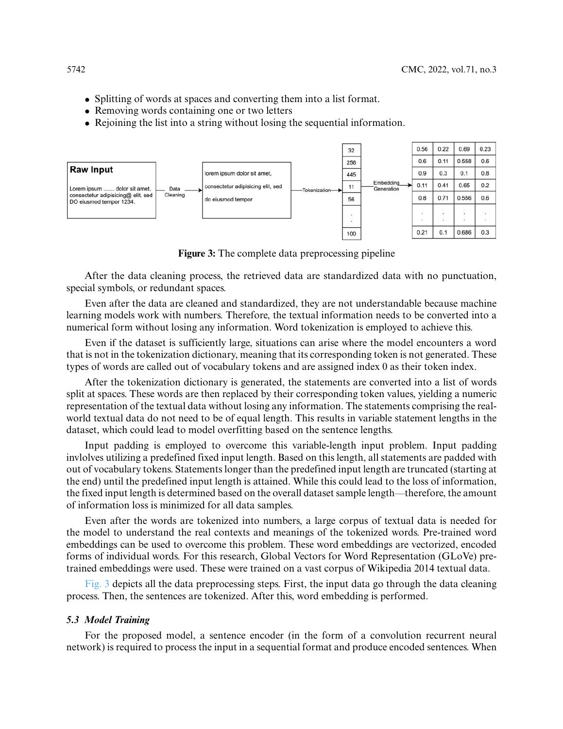- Splitting of words at spaces and converting them into a list format.
- Removing words containing one or two letters
- Rejoining the list into a string without losing the sequential information.



**Figure 3:** The complete data preprocessing pipeline

<span id="page-9-0"></span>After the data cleaning process, the retrieved data are standardized data with no punctuation, special symbols, or redundant spaces.

Even after the data are cleaned and standardized, they are not understandable because machine learning models work with numbers. Therefore, the textual information needs to be converted into a numerical form without losing any information. Word tokenization is employed to achieve this.

Even if the dataset is sufficiently large, situations can arise where the model encounters a word that is not in the tokenization dictionary, meaning that its corresponding token is not generated. These types of words are called out of vocabulary tokens and are assigned index 0 as their token index.

After the tokenization dictionary is generated, the statements are converted into a list of words split at spaces. These words are then replaced by their corresponding token values, yielding a numeric representation of the textual data without losing any information. The statements comprising the realworld textual data do not need to be of equal length. This results in variable statement lengths in the dataset, which could lead to model overfitting based on the sentence lengths.

Input padding is employed to overcome this variable-length input problem. Input padding invlolves utilizing a predefined fixed input length. Based on this length, all statements are padded with out of vocabulary tokens. Statements longer than the predefined input length are truncated (starting at the end) until the predefined input length is attained. While this could lead to the loss of information, the fixed input length is determined based on the overall dataset sample length—therefore, the amount of information loss is minimized for all data samples.

Even after the words are tokenized into numbers, a large corpus of textual data is needed for the model to understand the real contexts and meanings of the tokenized words. Pre-trained word embeddings can be used to overcome this problem. These word embeddings are vectorized, encoded forms of individual words. For this research, Global Vectors for Word Representation (GLoVe) pretrained embeddings were used. These were trained on a vast corpus of Wikipedia 2014 textual data.

[Fig. 3](#page-9-0) depicts all the data preprocessing steps. First, the input data go through the data cleaning process. Then, the sentences are tokenized. After this, word embedding is performed.

#### *5.3 Model Training*

For the proposed model, a sentence encoder (in the form of a convolution recurrent neural network) is required to process the input in a sequential format and produce encoded sentences. When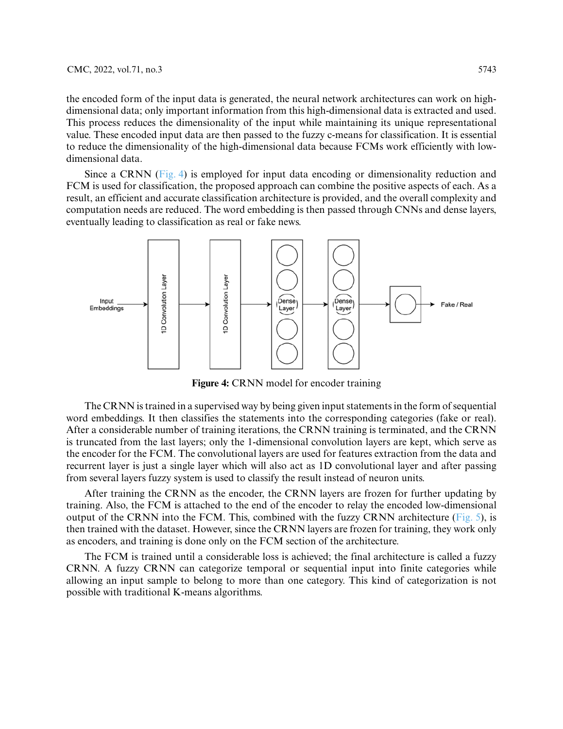the encoded form of the input data is generated, the neural network architectures can work on highdimensional data; only important information from this high-dimensional data is extracted and used. This process reduces the dimensionality of the input while maintaining its unique representational value. These encoded input data are then passed to the fuzzy c-means for classification. It is essential to reduce the dimensionality of the high-dimensional data because FCMs work efficiently with lowdimensional data.

Since a CRNN [\(Fig. 4\)](#page-10-0) is employed for input data encoding or dimensionality reduction and FCM is used for classification, the proposed approach can combine the positive aspects of each. As a result, an efficient and accurate classification architecture is provided, and the overall complexity and computation needs are reduced. The word embedding is then passed through CNNs and dense layers, eventually leading to classification as real or fake news.



**Figure 4:** CRNN model for encoder training

<span id="page-10-0"></span>The CRNN is trained in a supervised way by being given input statements in the form of sequential word embeddings. It then classifies the statements into the corresponding categories (fake or real). After a considerable number of training iterations, the CRNN training is terminated, and the CRNN is truncated from the last layers; only the 1-dimensional convolution layers are kept, which serve as the encoder for the FCM. The convolutional layers are used for features extraction from the data and recurrent layer is just a single layer which will also act as 1D convolutional layer and after passing from several layers fuzzy system is used to classify the result instead of neuron units.

After training the CRNN as the encoder, the CRNN layers are frozen for further updating by training. Also, the FCM is attached to the end of the encoder to relay the encoded low-dimensional output of the CRNN into the FCM. This, combined with the fuzzy CRNN architecture [\(Fig. 5\)](#page-11-0), is then trained with the dataset. However, since the CRNN layers are frozen for training, they work only as encoders, and training is done only on the FCM section of the architecture.

The FCM is trained until a considerable loss is achieved; the final architecture is called a fuzzy CRNN. A fuzzy CRNN can categorize temporal or sequential input into finite categories while allowing an input sample to belong to more than one category. This kind of categorization is not possible with traditional K-means algorithms.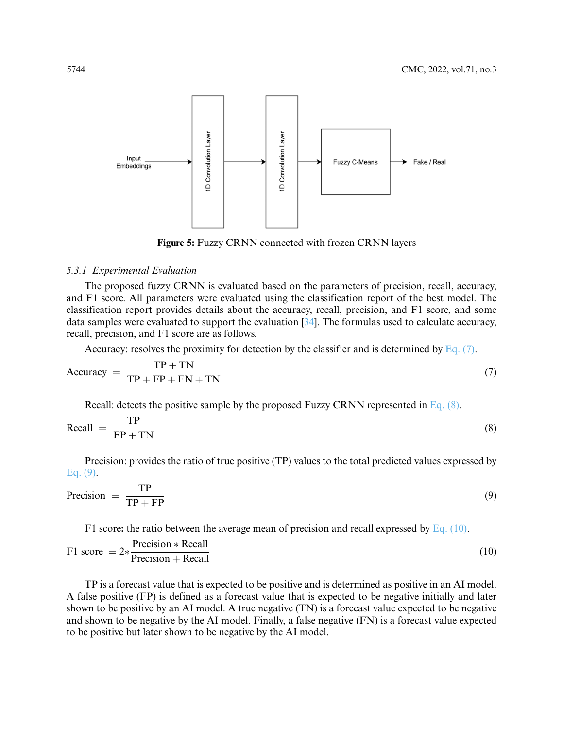

<span id="page-11-2"></span><span id="page-11-1"></span>**Figure 5:** Fuzzy CRNN connected with frozen CRNN layers

#### <span id="page-11-0"></span>*5.3.1 Experimental Evaluation*

The proposed fuzzy CRNN is evaluated based on the parameters of precision, recall, accuracy, and F1 score. All parameters were evaluated using the classification report of the best model. The classification report provides details about the accuracy, recall, precision, and F1 score, and some data samples were evaluated to support the evaluation [\[34\]](#page-17-13). The formulas used to calculate accuracy, recall, precision, and F1 score are as follows.

Accuracy: resolves the proximity for detection by the classifier and is determined by Eq.  $(7)$ .

$$
Accuracy = \frac{TP + TN}{TP + FP + FN + TN}
$$
\n(7)

Recall: detects the positive sample by the proposed Fuzzy CRNN represented in [Eq. \(8\).](#page-11-2)

$$
\text{Recall} = \frac{\text{TP}}{\text{FP} + \text{TN}} \tag{8}
$$

Precision: provides the ratio of true positive (TP) values to the total predicted values expressed by [Eq. \(9\).](#page-11-3)

<span id="page-11-3"></span>
$$
Precision = \frac{TP}{TP + FP}
$$
\n(9)

<span id="page-11-4"></span>F1 score**:** the ratio between the average mean of precision and recall expressed by [Eq. \(10\).](#page-11-4)

$$
F1 score = 2* \frac{Precision * Recall}{Precision + Recall}
$$
\n(10)

TP is a forecast value that is expected to be positive and is determined as positive in an AI model. A false positive (FP) is defined as a forecast value that is expected to be negative initially and later shown to be positive by an AI model. A true negative (TN) is a forecast value expected to be negative and shown to be negative by the AI model. Finally, a false negative (FN) is a forecast value expected to be positive but later shown to be negative by the AI model.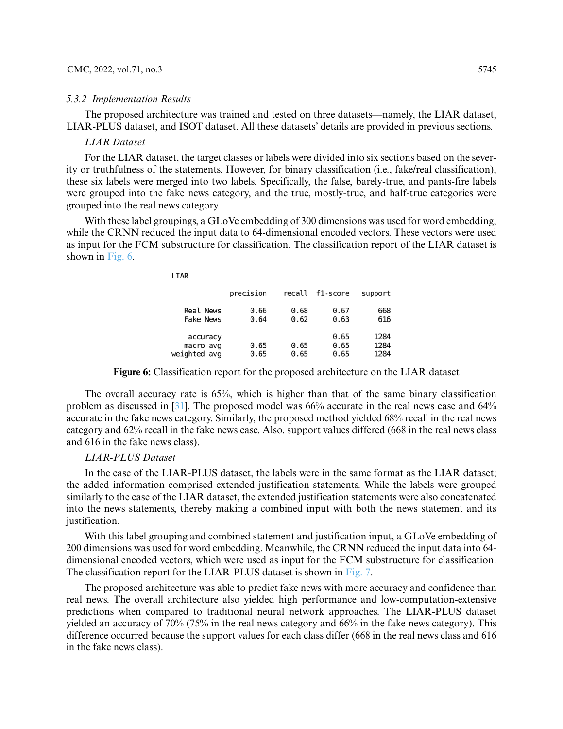#### CMC, 2022, vol.71, no.3 5745

#### *5.3.2 Implementation Results*

The proposed architecture was trained and tested on three datasets—namely, the LIAR dataset, LIAR-PLUS dataset, and ISOT dataset. All these datasets' details are provided in previous sections.

#### *LIAR Dataset*

For the LIAR dataset, the target classes or labels were divided into six sections based on the severity or truthfulness of the statements. However, for binary classification (i.e., fake/real classification), these six labels were merged into two labels. Specifically, the false, barely-true, and pants-fire labels were grouped into the fake news category, and the true, mostly-true, and half-true categories were grouped into the real news category.

With these label groupings, a GLoVe embedding of 300 dimensions was used for word embedding, while the CRNN reduced the input data to 64-dimensional encoded vectors. These vectors were used as input for the FCM substructure for classification. The classification report of the LIAR dataset is shown in [Fig. 6.](#page-12-0)

|                                      | precision    | recall       | f1-score             | support              |
|--------------------------------------|--------------|--------------|----------------------|----------------------|
| Real News<br>Fake News               | 0.66<br>0.64 | 0.68<br>0.62 | 0.67<br>0.63         | 668<br>616           |
| accuracy<br>macro avg<br>eighted avg | 0.65<br>0.65 | 0.65<br>0.65 | 0.65<br>0.65<br>0.65 | 1284<br>1284<br>1284 |

**Figure 6:** Classification report for the proposed architecture on the LIAR dataset

<span id="page-12-0"></span>The overall accuracy rate is 65%, which is higher than that of the same binary classification problem as discussed in [\[31\]](#page-17-10). The proposed model was 66% accurate in the real news case and 64% accurate in the fake news category. Similarly, the proposed method yielded 68% recall in the real news category and 62% recall in the fake news case. Also, support values differed (668 in the real news class and 616 in the fake news class).

## *LIAR-PLUS Dataset*

LTAR

W

In the case of the LIAR-PLUS dataset, the labels were in the same format as the LIAR dataset; the added information comprised extended justification statements. While the labels were grouped similarly to the case of the LIAR dataset, the extended justification statements were also concatenated into the news statements, thereby making a combined input with both the news statement and its justification.

With this label grouping and combined statement and justification input, a GLoVe embedding of 200 dimensions was used for word embedding. Meanwhile, the CRNN reduced the input data into 64 dimensional encoded vectors, which were used as input for the FCM substructure for classification. The classification report for the LIAR-PLUS dataset is shown in [Fig. 7.](#page-13-0)

The proposed architecture was able to predict fake news with more accuracy and confidence than real news. The overall architecture also yielded high performance and low-computation-extensive predictions when compared to traditional neural network approaches. The LIAR-PLUS dataset yielded an accuracy of 70% (75% in the real news category and 66% in the fake news category). This difference occurred because the support values for each class differ (668 in the real news class and 616 in the fake news class).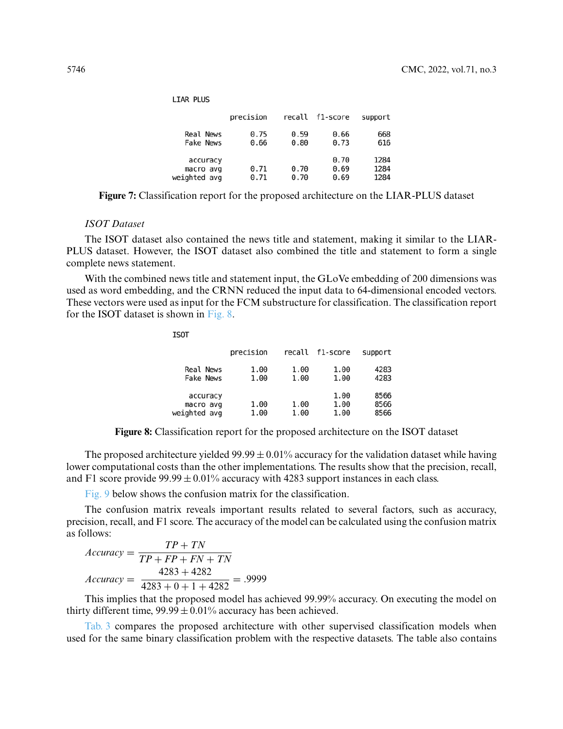|                                       | precision    |              | recall f1-score      | support              |
|---------------------------------------|--------------|--------------|----------------------|----------------------|
| Real News<br>Fake News                | 0.75<br>0.66 | 0.59<br>0.80 | 0.66<br>0.73         | 668<br>616           |
| accuracy<br>macro avg<br>weighted avg | 0.71<br>0.71 | 0.70<br>0.70 | 0.70<br>0.69<br>0.69 | 1284<br>1284<br>1284 |

**LIAR PLUS** 

<span id="page-13-0"></span>**Figure 7:** Classification report for the proposed architecture on the LIAR-PLUS dataset

#### *ISOT Dataset*

The ISOT dataset also contained the news title and statement, making it similar to the LIAR-PLUS dataset. However, the ISOT dataset also combined the title and statement to form a single complete news statement.

With the combined news title and statement input, the GLoVe embedding of 200 dimensions was used as word embedding, and the CRNN reduced the input data to 64-dimensional encoded vectors. These vectors were used as input for the FCM substructure for classification. The classification report for the ISOT dataset is shown in [Fig. 8.](#page-13-1)

|                                       | precision    | recall       | f1-score             | support              |
|---------------------------------------|--------------|--------------|----------------------|----------------------|
| Real News<br><b>Fake News</b>         | 1.00<br>1.00 | 1.00<br>1.00 | 1.00<br>1.00         | 4283<br>4283         |
| accuracy<br>macro avg<br>weighted avg | 1.00<br>1.00 | 1.00<br>1.00 | 1.00<br>1.00<br>1.00 | 8566<br>8566<br>8566 |

**Figure 8:** Classification report for the proposed architecture on the ISOT dataset

<span id="page-13-1"></span>The proposed architecture yielded  $99.99 \pm 0.01\%$  accuracy for the validation dataset while having lower computational costs than the other implementations. The results show that the precision, recall, and F1 score provide  $99.99 \pm 0.01\%$  accuracy with 4283 support instances in each class.

[Fig. 9](#page-14-0) below shows the confusion matrix for the classification.

The confusion matrix reveals important results related to several factors, such as accuracy, precision, recall, and F1 score. The accuracy of the model can be calculated using the confusion matrix as follows:

$$
Accuracy = \frac{TP + TN}{TP + FP + FN + TN}
$$

$$
Accuracy = \frac{4283 + 4282}{4283 + 0 + 1 + 4282} = .9999
$$

**TSOT** 

This implies that the proposed model has achieved 99.99% accuracy. On executing the model on thirty different time,  $99.99 \pm 0.01\%$  accuracy has been achieved.

[Tab. 3](#page-14-1) compares the proposed architecture with other supervised classification models when used for the same binary classification problem with the respective datasets. The table also contains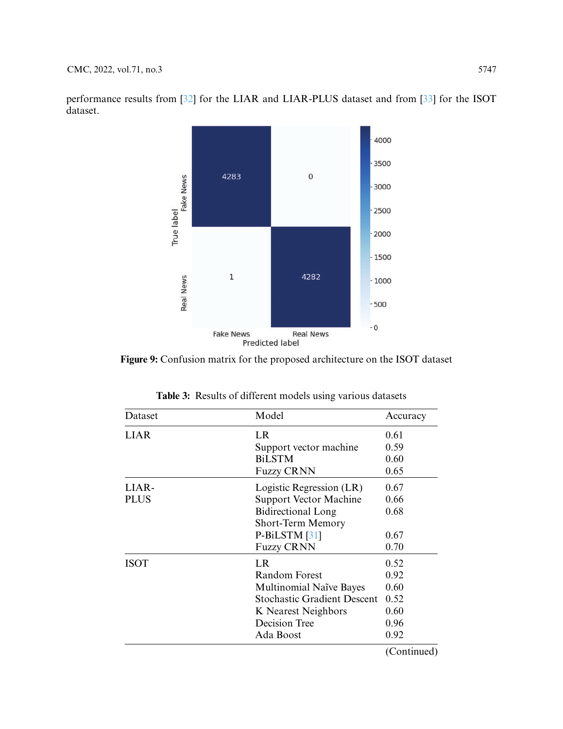performance results from [\[32\]](#page-17-11) for the LIAR and LIAR-PLUS dataset and from [\[33\]](#page-17-12) for the ISOT dataset.



<span id="page-14-0"></span>**Figure 9:** Confusion matrix for the proposed architecture on the ISOT dataset

| Dataset     | Model                              | Accuracy    |
|-------------|------------------------------------|-------------|
| LIAR        | LR                                 | 0.61        |
|             | Support vector machine             | 0.59        |
|             | <b>BiLSTM</b>                      | 0.60        |
|             | <b>Fuzzy CRNN</b>                  | 0.65        |
| LIAR-       | Logistic Regression (LR)           | 0.67        |
| <b>PLUS</b> | <b>Support Vector Machine</b>      | 0.66        |
|             | Bidirectional Long                 | 0.68        |
|             | Short-Term Memory                  |             |
|             | P-BiLSTM [31]                      | 0.67        |
|             | <b>Fuzzy CRNN</b>                  | 0.70        |
| <b>ISOT</b> | LR                                 | 0.52        |
|             | Random Forest                      | 0.92        |
|             | <b>Multinomial Naïve Bayes</b>     | 0.60        |
|             | <b>Stochastic Gradient Descent</b> | 0.52        |
|             | K Nearest Neighbors                | 0.60        |
|             | Decision Tree                      | 0.96        |
|             | Ada Boost                          | 0.92        |
|             |                                    | (Continued) |

<span id="page-14-1"></span>**Table 3:** Results of different models using various datasets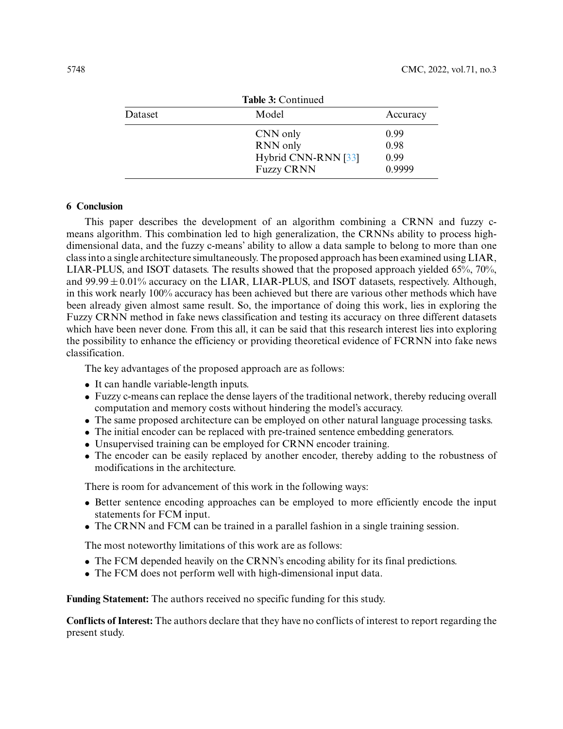| Table 3: Continued |                                          |                |  |
|--------------------|------------------------------------------|----------------|--|
| Dataset            | Model                                    | Accuracy       |  |
|                    | CNN only<br>RNN only                     | 0.99<br>0.98   |  |
|                    | Hybrid CNN-RNN [33]<br><b>Fuzzy CRNN</b> | 0.99<br>0.9999 |  |

#### **6 Conclusion**

This paper describes the development of an algorithm combining a CRNN and fuzzy cmeans algorithm. This combination led to high generalization, the CRNNs ability to process highdimensional data, and the fuzzy c-means' ability to allow a data sample to belong to more than one class into a single architecture simultaneously. The proposed approach has been examined using LIAR, LIAR-PLUS, and ISOT datasets. The results showed that the proposed approach yielded 65%, 70%, and  $99.99 \pm 0.01\%$  accuracy on the LIAR, LIAR-PLUS, and ISOT datasets, respectively. Although, in this work nearly 100% accuracy has been achieved but there are various other methods which have been already given almost same result. So, the importance of doing this work, lies in exploring the Fuzzy CRNN method in fake news classification and testing its accuracy on three different datasets which have been never done. From this all, it can be said that this research interest lies into exploring the possibility to enhance the efficiency or providing theoretical evidence of FCRNN into fake news classification.

The key advantages of the proposed approach are as follows:

- It can handle variable-length inputs.
- Fuzzy c-means can replace the dense layers of the traditional network, thereby reducing overall computation and memory costs without hindering the model's accuracy.
- The same proposed architecture can be employed on other natural language processing tasks.
- The initial encoder can be replaced with pre-trained sentence embedding generators.
- Unsupervised training can be employed for CRNN encoder training.
- The encoder can be easily replaced by another encoder, thereby adding to the robustness of modifications in the architecture.

There is room for advancement of this work in the following ways:

- Better sentence encoding approaches can be employed to more efficiently encode the input statements for FCM input.
- The CRNN and FCM can be trained in a parallel fashion in a single training session.

The most noteworthy limitations of this work are as follows:

- The FCM depended heavily on the CRNN's encoding ability for its final predictions.
- The FCM does not perform well with high-dimensional input data.

**Funding Statement:** The authors received no specific funding for this study.

**Conflicts of Interest:** The authors declare that they have no conflicts of interest to report regarding the present study.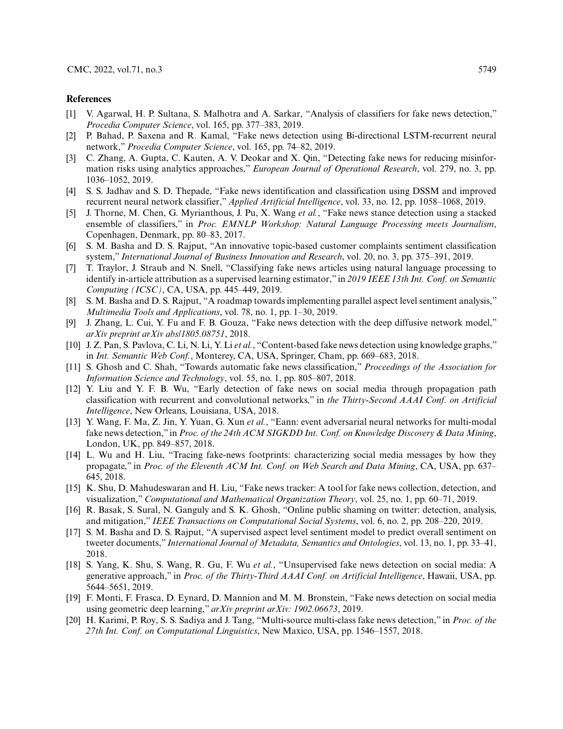#### **References**

- <span id="page-16-0"></span>[1] V. Agarwal, H. P. Sultana, S. Malhotra and A. Sarkar, "Analysis of classifiers for fake news detection," *Procedia Computer Science*, vol. 165, pp. 377–383, 2019.
- <span id="page-16-1"></span>[2] P. Bahad, P. Saxena and R. Kamal, "Fake news detection using Bi-directional LSTM-recurrent neural network," *Procedia Computer Science*, vol. 165, pp. 74–82, 2019.
- <span id="page-16-2"></span>[3] C. Zhang, A. Gupta, C. Kauten, A. V. Deokar and X. Qin, "Detecting fake news for reducing misinformation risks using analytics approaches," *European Journal of Operational Research*, vol. 279, no. 3, pp. 1036–1052, 2019.
- <span id="page-16-3"></span>[4] S. S. Jadhav and S. D. Thepade, "Fake news identification and classification using DSSM and improved recurrent neural network classifier," *Applied Artificial Intelligence*, vol. 33, no. 12, pp. 1058–1068, 2019.
- <span id="page-16-4"></span>[5] J. Thorne, M. Chen, G. Myrianthous, J. Pu, X. Wang *et al.*, "Fake news stance detection using a stacked ensemble of classifiers," in *Proc. EMNLP Workshop: Natural Language Processing meets Journalism*, Copenhagen, Denmark, pp. 80–83, 2017.
- <span id="page-16-5"></span>[6] S. M. Basha and D. S. Rajput, "An innovative topic-based customer complaints sentiment classification system," *International Journal of Business Innovation and Research*, vol. 20, no. 3, pp. 375–391, 2019.
- <span id="page-16-6"></span>[7] T. Traylor, J. Straub and N. Snell, "Classifying fake news articles using natural language processing to identify in-article attribution as a supervised learning estimator," in *2019 IEEE 13th Int. Conf. on Semantic Computing (ICSC)*, CA, USA, pp. 445–449, 2019.
- <span id="page-16-7"></span>[8] S. M. Basha and D. S. Rajput, "A roadmap towards implementing parallel aspect level sentiment analysis," *Multimedia Tools and Applications*, vol. 78, no. 1, pp. 1–30, 2019.
- <span id="page-16-8"></span>[9] J. Zhang, L. Cui, Y. Fu and F. B. Gouza, "Fake news detection with the deep diffusive network model," *arXiv preprint arXiv abs/1805.08751*, 2018.
- <span id="page-16-9"></span>[10] J. Z. Pan, S. Pavlova, C. Li, N. Li, Y. Li *et al.*, "Content-based fake news detection using knowledge graphs," in *Int. Semantic Web Conf.*, Monterey, CA, USA, Springer, Cham, pp. 669–683, 2018.
- <span id="page-16-10"></span>[11] S. Ghosh and C. Shah, "Towards automatic fake news classification," *Proceedings of the Association for Information Science and Technology*, vol. 55, no. 1, pp. 805–807, 2018.
- <span id="page-16-11"></span>[12] Y. Liu and Y. F. B. Wu, "Early detection of fake news on social media through propagation path classification with recurrent and convolutional networks," in *the Thirty-Second AAAI Conf. on Artificial Intelligence*, New Orleans, Louisiana, USA, 2018.
- <span id="page-16-12"></span>[13] Y. Wang, F. Ma, Z. Jin, Y. Yuan, G. Xun *et al.*, "Eann: event adversarial neural networks for multi-modal fake news detection," in *Proc. of the 24th ACM SIGKDD Int. Conf. on Knowledge Discovery & Data Mining*, London, UK, pp. 849–857, 2018.
- <span id="page-16-13"></span>[14] L. Wu and H. Liu, "Tracing fake-news footprints: characterizing social media messages by how they propagate," in *Proc. of the Eleventh ACM Int. Conf. on Web Search and Data Mining*, CA, USA, pp. 637– 645, 2018.
- <span id="page-16-14"></span>[15] K. Shu, D. Mahudeswaran and H. Liu, "Fake news tracker: A tool for fake news collection, detection, and visualization," *Computational and Mathematical Organization Theory*, vol. 25, no. 1, pp. 60–71, 2019.
- <span id="page-16-15"></span>[16] R. Basak, S. Sural, N. Ganguly and S. K. Ghosh, "Online public shaming on twitter: detection, analysis, and mitigation," *IEEE Transactions on Computational Social Systems*, vol. 6, no. 2, pp. 208–220, 2019.
- <span id="page-16-16"></span>[17] S. M. Basha and D. S. Rajput, "A supervised aspect level sentiment model to predict overall sentiment on tweeter documents," *International Journal of Metadata, Semantics and Ontologies*, vol. 13, no. 1, pp. 33–41, 2018.
- <span id="page-16-17"></span>[18] S. Yang, K. Shu, S. Wang, R. Gu, F. Wu *et al.*, "Unsupervised fake news detection on social media: A generative approach," in *Proc. of the Thirty-Third AAAI Conf. on Artificial Intelligence*, Hawaii, USA, pp. 5644–5651, 2019.
- <span id="page-16-18"></span>[19] F. Monti, F. Frasca, D. Eynard, D. Mannion and M. M. Bronstein, "Fake news detection on social media using geometric deep learning," *arXiv preprint arXiv: 1902.06673*, 2019.
- <span id="page-16-19"></span>[20] H. Karimi, P. Roy, S. S. Sadiya and J. Tang, "Multi-source multi-class fake news detection," in *Proc. of the 27th Int. Conf. on Computational Linguistics*, New Maxico, USA, pp. 1546–1557, 2018.